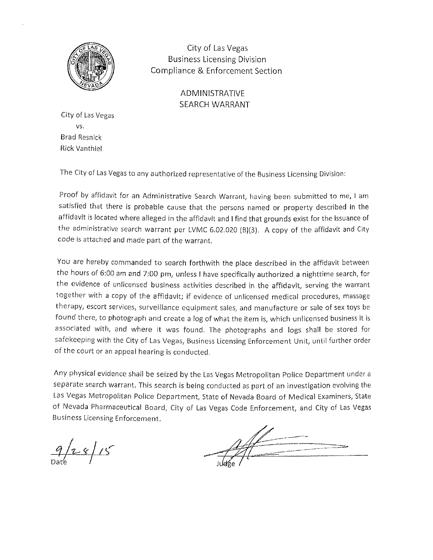

City of Las Vegas Business Licensing Division Compliance & Enforcement Section

> ADMINISTRATIVE SEARCH WARRANT

Cíty of Las Vegas vs. Brad Resnick Rick Vanthiel

The City of Las Vegas to any authorized representative of the Business Licensing Division:

Proof by affidavit for an Administrative Search Warrant, having been submitted to me, I am satisfied that there is probable cause that the persons named or property described in the affidavit is located where alleged in the affidavit and I find that grounds exist for the issuance of the administrative search warrant per LVMC 6.02.020 (B)(3). A copy of the affidavit and City code is attached and made part of the warrant,

You are hereby commanded to search forthwith the place described in the affidavit between the hours of 6:00 am and 7:00 pm, unless I have specifically authorized a nighttime search, for the evidence of unlicensed business activities described in the affidavit, serving the warrant together with a copy of the affidavit; if evidence of unlicensed medical procedures, massage therapy, escort services, surveillance equipment sales, and manufacture or sale of sex toys be found there, to photograph and create a log of what the item is, which unlicensed business it is associated wíth, and where it was found. The photographs and logs shall be stored for safekeeping with the City of Las Vegas, Business Licensing Enforcement Unit, until further order of the court or an appeal hearíng is conducted.

Any physical evidence shall be seized by the Las Vegas Metropolitan Police Department under <sup>a</sup> separate search warrant. This search is being conducted as part of an investigation evolving the Las Vegas Metropolitan Police Department, State of Nevada Board of Medical Examiners, State of Nevada Pharmaceutical Board, City of Las Vegas Code Enforcement, and City of Las Vegas Business Licensing Enforcement.

 $9/28/15$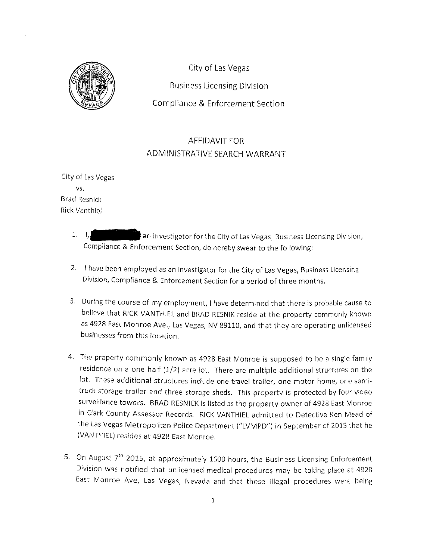

City of Las Vegas **Business Licensing Division** Compliance & Enforcement Section

## AFFIDAVIT FOR ADMINISTRATIVE SEARCH WARRANT

City of Las Vegas vs. Brad Resnick Rick Vanthiel

- $1. \quad L$ an investigator for the City of Las Vegas, Business Licensing Division, Compliance & Enforcement Section, do hereby swear to the following:
- 2. I have been employed as an investigator for the City of Las Vegas, Business Licensing Dívision, Compliance & Enforcement Section for a period of three months.
- 3. During the course of my employment, I have determined that there is probable cause to believe that RICK VANTHIEL and BRAD RESNIK reside at the property commonly known as 4928 East Monroe Ave., Las Vegas, NV 89110, and that they are operating unlicensed businesses from this location.
- 4. The property commonly known as 4928 East Monroe is supposed to be a single family residence on a one half (1/2) acre lot. There are multiple additional structures on the lot. These additional structures include one travel trailer, one motor home, one semitruck storage trailer and three storage sheds. This property is protected by four video surveillance towers. BRAD RESNICK is listed as the property owner of 4928 East Monroe in Clark County Assessor Records. RICK VANTHIEL admitted to Detective Ken Mead of the Las Vegas Metropolitan Police Department ("LVMPD") in September of 2015 that he (VANTHIEL) resides at 4928 Easr Monroe.
- 5. On August  $7<sup>th</sup>$  2015, at approximately 1600 hours, the Business Licensing Enforcement Division was notified that unlicensed medical procedures may be taking place at <sup>4928</sup> East Monroe Ave, Las Vegas, Nevada and that these illegal procedures were being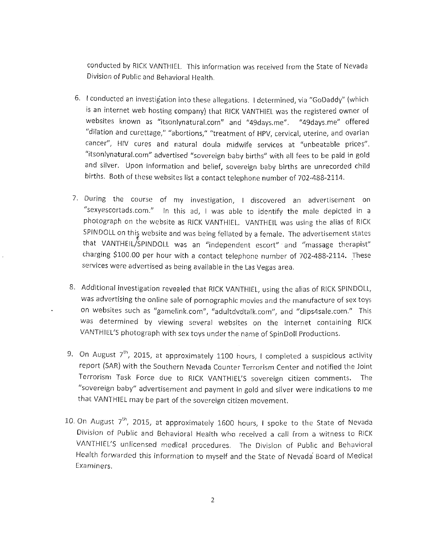conducted by RICK VANTHIEL. This information was received from the State of Nevada Division of Public and Behavioral Health.

- 6. I conducted an investigation into these allegations. I determined, via "GoDaddy" (which is an internet web hosting company) that RICK VANTHIEL was the registered owner of websites known as "itsonlynatural.com" and "49days.me". "49days.me" offered "dilation and curettage," "abortions," "treatment of HpV, cervical, uterine, and ovarian cancer", HIV cures and natural doula midwife services at "unbeatable prices". "itsonlynatural.com" advertised "sovereign baby births" with all fees to be paid in gold and silver. Upon information and belief, sovereign baby births are unrecorded child births. Both of these websites list a contact telephone number of 702-488-2114.
- <sup>7</sup>' During the course of my investigation, I discovered an advertisement on "sexyescortads.com." ln this ad, I was able to identify the male depicted in <sup>a</sup> photograph on the website as RICK VANTHIEL. VANTHEIL was using the alias of RICK SPINDOLL on this website and was being fellated by a female. The advertisement states that VANTHEIL/SPINDOLL was an "independent escort" and "massage therapist" charging \$100.00 per hour with a contact telephone number of 702-488-2114. These services were advertised as being available in the Las vegas area.
- 8. Additional investigation revealed that RICK VANTHIEL, using the alias of RICK SPINDOLL, was advertising the online sale of pornographic movies and the manufacture of sex toys on websites such as "gamelink.com", "adultdvdtalk.com", and "clips4sale.com." This was determined by viewing several websites on the internet containing RICK VANTHIEL'S photograph with sex toys under the name of SpinDoll Productions.
- 9. On August  $7<sup>th</sup>$ , 2015, at approximately 1100 hours, I completed a suspicious activity report (SAR) with the Southern Nevada Counter Terrorism Center and notified the Joint Terrorism Task Force due to RICK VANTHIEL'S sovereign citizen comments. The "sovereign baby" advertisement and payment in gold and silver were indications to me that VANTHIEL may be part of the sovereign citizen movement.
- 10. On August  $7^{th}$ , 2015, at approximately 1600 hours, I spoke to the State of Nevada Division of Public and Behavioral Health who received a call from a witness to RICK VANTHIEL'S unlicensed medical procedures. The Division of Public and Behavioral Health forwarded this information to myself and the State of Nevada Board of Medical Examiners,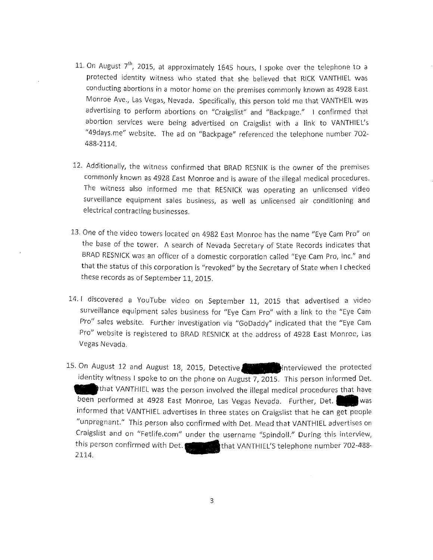- 11. On August  $7<sup>th</sup>$ , 2015, at approximately 1645 hours, I spoke over the telephone to a protected identity witness who stated that she believed that RICK VANTHIEL was conducting abortions in a motor home on the premises commonly known as 4928 East Monroe Ave., Las Vegas, Nevada. Specifically, this person told me that VANTHEIL was advertising to perform abortions on "Craigslist" and "Backpage." I confirmed that abortion services were being advertised on Craigslist with a link to VANTHIEL's "49days.me" website. The ad on "Backpage" referenced the telephone number 702-488-2114.
- 12, Additionally, the witness confirmed that BRAD RESNIK is the owner of the premises commonly known as 4928 East Monroe and is aware of the illegal medical procedures. The witness also informed me that RESNICK was operating an unlicensed video surveillance equipment sales business, as well as unlicensed air conditioning and electrical contracting businesses.
- L3. One of the video towers located on 4982 East Monroe has the name "Eye Cam Pro" on the base of the tower. A search of Nevada Secretary of State Records indicates that BRAD RESNICK was an officer of a domestic corporation called "Eye Cam Pro, lnc." and that the status of this corporatíon is "revoked" by the Secretary of State when I checked these records as of September 11, 2015.
- l-4. I discovered a YouTube video on September LL, 2015 that advertised a video surveillance equipment sales business for "Eye cam pro" with a link to the "Eye cam Pro" sales website. Further investigation via "GoDaddy" indicated that the "Eye Cam Pro" websíte is registered to BRAD RESNICK at the address of 4928 East Monroe, Las Vegas Nevada.
- 15. On August 12 and August 18, 2015, Detective **finally a**interviewed the protected identity witness I spoke to on the phone on August  $7$ , 2015. This person informed Det. that VANTHIEL was the person involved the illegal medical procedures that have<br>performed at 4928 East Monroe, Las Vegas Nevada. Further, Det, been performed at 4928 East Monroe, Las Vegas Nevada. Further, Det. informed that VANTHIEL advertises in three states on Craigslist that he can get people "unpregnant." This person also confirmed with Det. Mead that VANTHIEL advertises on Craigslist and on "Fetlife.com" under the username "spindoll." During this interview, that VANTHIEL'S telephone number 702-488-2114, medwithold, the Vantage of the Vantage of the Vantage of the Vantage of the Vantage of the Vantage of the Vantage of the Vantage of the Vantage of the Vantage of the Vantage of the Vantage of the Vantage of the Vanta